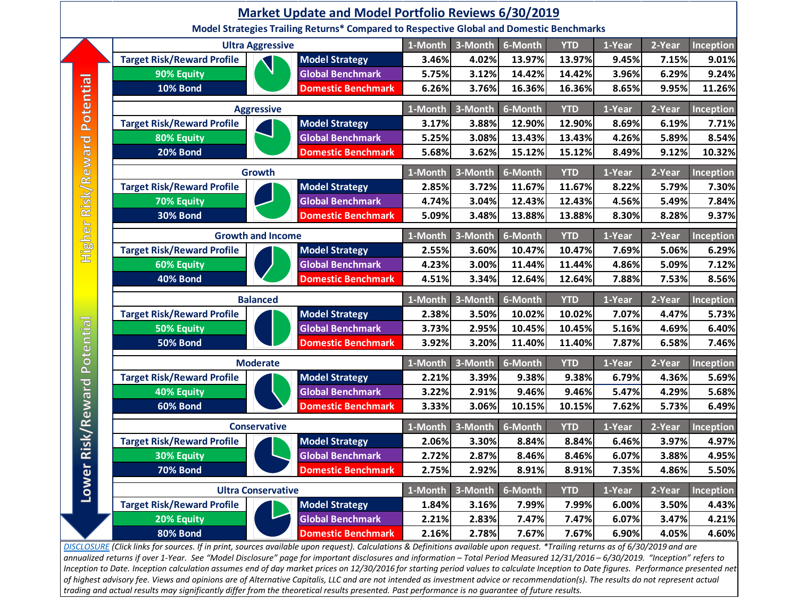

*[DISCLOSURE](https://www.altcapitalis.com/disclosure) (Click links for sources. If in print, sources available upon request). Calculations & Definitions available upon request. \*Trailing returns as of 6/30/2019 and are annualized returns if over 1-Year. See "Model Disclosure" page for important disclosures and information – Total Period Measured 12/31/2016 – 6/30/2019. "Inception" refers to*  Inception to Date. Inception calculation assumes end of day market prices on 12/30/2016 for starting period values to calculate Inception to Date figures. Performance presented net *of highest advisory fee. Views and opinions are of Alternative Capitalis, LLC and are not intended as investment advice or recommendation(s). The results do not represent actual trading and actual results may significantly differ from the theoretical results presented. Past performance is no guarantee of future results.*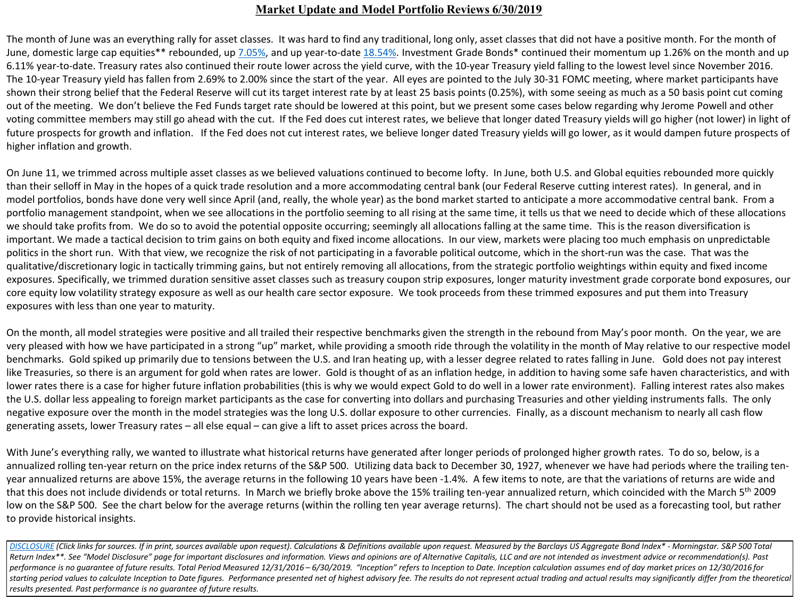## **Market Update and Model Portfolio Reviews 6/30/2019**

The month of June was an everything rally for asset classes. It was hard to find any traditional, long only, asset classes that did not have a positive month. For the month of June, domestic large cap equities\*\* rebounded, up [7.05%,](https://us.spindices.com/indices/equity/sp-500) and up year-to-date [18.54%.](https://us.spindices.com/indices/equity/sp-500) Investment Grade Bonds\* continued their momentum up 1.26% on the month and up 6.11% year-to-date. Treasury rates also continued their route lower across the yield curve, with the 10-year Treasury yield falling to the lowest level since November 2016. The 10-year Treasury yield has fallen from 2.69% to 2.00% since the start of the year. All eyes are pointed to the July 30-31 FOMC meeting, where market participants have shown their strong belief that the Federal Reserve will cut its target interest rate by at least 25 basis points (0.25%), with some seeing as much as a 50 basis point cut coming out of the meeting. We don't believe the Fed Funds target rate should be lowered at this point, but we present some cases below regarding why Jerome Powell and other voting committee members may still go ahead with the cut. If the Fed does cut interest rates, we believe that longer dated Treasury yields will go higher (not lower) in light of future prospects for growth and inflation. If the Fed does not cut interest rates, we believe longer dated Treasury yields will go lower, as it would dampen future prospects of higher inflation and growth.

On June 11, we trimmed across multiple asset classes as we believed valuations continued to become lofty. In June, both U.S. and Global equities rebounded more quickly than their selloff in May in the hopes of a quick trade resolution and a more accommodating central bank (our Federal Reserve cutting interest rates). In general, and in model portfolios, bonds have done very well since April (and, really, the whole year) as the bond market started to anticipate a more accommodative central bank. From a portfolio management standpoint, when we see allocations in the portfolio seeming to all rising at the same time, it tells us that we need to decide which of these allocations we should take profits from. We do so to avoid the potential opposite occurring; seemingly all allocations falling at the same time. This is the reason diversification is important. We made a tactical decision to trim gains on both equity and fixed income allocations. In our view, markets were placing too much emphasis on unpredictable politics in the short run. With that view, we recognize the risk of not participating in a favorable political outcome, which in the short-run was the case. That was the qualitative/discretionary logic in tactically trimming gains, but not entirely removing all allocations, from the strategic portfolio weightings within equity and fixed income exposures. Specifically, we trimmed duration sensitive asset classes such as treasury coupon strip exposures, longer maturity investment grade corporate bond exposures, our core equity low volatility strategy exposure as well as our health care sector exposure. We took proceeds from these trimmed exposures and put them into Treasury exposures with less than one year to maturity.

On the month, all model strategies were positive and all trailed their respective benchmarks given the strength in the rebound from May's poor month. On the year, we are very pleased with how we have participated in a strong "up" market, while providing a smooth ride through the volatility in the month of May relative to our respective model benchmarks. Gold spiked up primarily due to tensions between the U.S. and Iran heating up, with a lesser degree related to rates falling in June. Gold does not pay interest like Treasuries, so there is an argument for gold when rates are lower. Gold is thought of as an inflation hedge, in addition to having some safe haven characteristics, and with lower rates there is a case for higher future inflation probabilities (this is why we would expect Gold to do well in a lower rate environment). Falling interest rates also makes the U.S. dollar less appealing to foreign market participants as the case for converting into dollars and purchasing Treasuries and other yielding instruments falls. The only negative exposure over the month in the model strategies was the long U.S. dollar exposure to other currencies. Finally, as a discount mechanism to nearly all cash flow generating assets, lower Treasury rates – all else equal – can give a lift to asset prices across the board.

With June's everything rally, we wanted to illustrate what historical returns have generated after longer periods of prolonged higher growth rates. To do so, below, is a annualized rolling ten-year return on the price index returns of the S&P 500. Utilizing data back to December 30, 1927, whenever we have had periods where the trailing tenyear annualized returns are above 15%, the average returns in the following 10 years have been -1.4%. A few items to note, are that the variations of returns are wide and that this does not include dividends or total returns. In March we briefly broke above the 15% trailing ten-year annualized return, which coincided with the March 5th 2009 low on the S&P 500. See the chart below for the average returns (within the rolling ten year average returns). The chart should not be used as a forecasting tool, but rather to provide historical insights.

[DISCLOSURE](https://www.altcapitalis.com/disclosure) (Click links for sources. If in print, sources available upon request). Calculations & Definitions available upon request. Measured by the Barclays US Aggregate Bond Index\* - Morningstar. S&P 500 Total *Return Index\*\*. See "Model Disclosure" page for important disclosures and information. Views and opinions are of Alternative Capitalis, LLC and are not intended as investment advice or recommendation(s). Past*  performance is no guarantee of future results. Total Period Measured 12/31/2016 - 6/30/2019. "Inception" refers to Inception to Date. Inception calculation assumes end of day market prices on 12/30/2016 for starting period values to calculate Inception to Date figures. Performance presented net of highest advisory fee. The results do not represent actual trading and actual results may significantly differ from the theoretical *results presented. Past performance is no guarantee of future results.*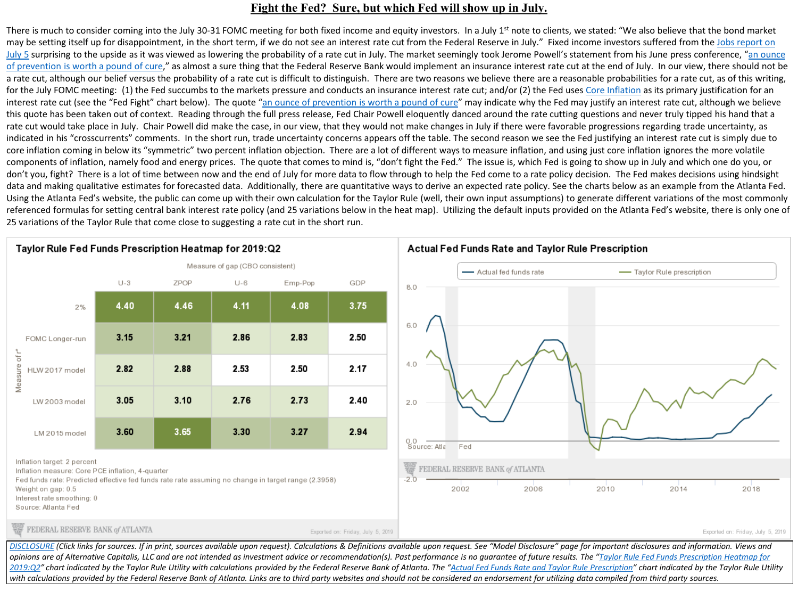## **Fight the Fed? Sure, but which Fed will show up in July.**

There is much to consider coming into the July 30-31 FOMC meeting for both fixed income and equity investors. In a July 1<sup>st</sup> note to clients, we stated: "We also believe that the bond market may be setting itself up for disappointment, in the short term, if we do not see an interest rate cut from the Federal Reserve in July." Fixed income investors suffered from the Jobs report on July 5 surprising to the upside as it was viewed as lowering the probability of a rate cut in July. The market seemingly took Jerome Powell's statement from his June press conference, "an ounce [of prevention is worth a pound of cure," as almost a sure thing that the Federal Reserve Bank would implement an insurance interest rate cut at the end of July. In our view, there should not be](https://www.federalreserve.gov/mediacenter/files/FOMCpresconf20190619.pdf) a rate cut, although our belief versus the probability of a rate cut is difficult to distinguish. There are two reasons we believe there are a reasonable probabilities for a rate cut, as of this writing, for the July FOMC meeting: (1) the Fed succumbs to the markets pressure and conducts an insurance interest rate cut; and/or (2) the Fed uses [Core Inflation](https://www.bea.gov/news/2019/personal-income-and-outlays-may-2019) as its primary justification for an interest rate cut (see the "Fed Fight" chart below). The quote "[an ounce of prevention is worth a pound of cure"](https://www.federalreserve.gov/mediacenter/files/FOMCpresconf20190619.pdf) may indicate why the Fed may justify an interest rate cut, although we believe this quote has been taken out of context. Reading through the full press release, Fed Chair Powell eloquently danced around the rate cutting questions and never truly tipped his hand that a rate cut would take place in July. Chair Powell did make the case, in our view, that they would not make changes in July if there were favorable progressions regarding trade uncertainty, as indicated in his "crosscurrents" comments. In the short run, trade uncertainty concerns appears off the table. The second reason we see the Fed justifying an interest rate cut is simply due to core inflation coming in below its "symmetric" two percent inflation objection. There are a lot of different ways to measure inflation, and using just core inflation ignores the more volatile components of inflation, namely food and energy prices. The quote that comes to mind is, "don't fight the Fed." The issue is, which Fed is going to show up in July and which one do you, or don't you, fight? There is a lot of time between now and the end of July for more data to flow through to help the Fed come to a rate policy decision. The Fed makes decisions using hindsight data and making qualitative estimates for forecasted data. Additionally, there are quantitative ways to derive an expected rate policy. See the charts below as an example from the Atlanta Fed. Using the Atlanta Fed's website, the public can come up with their own calculation for the Taylor Rule (well, their own input assumptions) to generate different variations of the most commonly referenced formulas for setting central bank interest rate policy (and 25 variations below in the heat map). Utilizing the default inputs provided on the Atlanta Fed's website, there is only one of 25 variations of the Taylor Rule that come close to suggesting a rate cut in the short run.





Inflation target: 2 percent

Inflation measure: Core PCE inflation, 4-quarter

Fed funds rate: Predicted effective fed funds rate rate assuming no change in target range (2.3958)

Weight on gap: 0.5

Interest rate smoothing: 0

Source: Atlanta Fed

FEDERAL RESERVE BANK of ATLANTA

Exported on: Friday, July 5, 2019

Exported on: Friday, July 5, 2019

[DISCLOSURE](https://www.altcapitalis.com/disclosure) (Click links for sources. If in print, sources available upon request). Calculations & Definitions available upon request. See "Model Disclosure" page for important disclosures and information. Views and *opinions are of Alternative Capitalis, LLC and are not intended as investment advice or recommendation(s). Past performance is no guarantee of future results. The "Taylor Rule Fed Funds Prescription Heatmap for*  [2019:Q2" chart indicated by the Taylor Rule Utility with calculations provided by the Federal Reserve Bank of Atlanta. The "Actual Fed Funds Rate and Taylor Rule Prescription" chart indicated by the Taylor Rule Uti](https://www.frbatlanta.org/cqer/research/taylor-rule)lity with calculations provided by the Federal Reserve Bank of Atlanta. Links are to third party websites and should not be considered an endorsement for utilizing data compiled from third party sources.

#### Actual Fed Funds Rate and Taylor Rule Prescription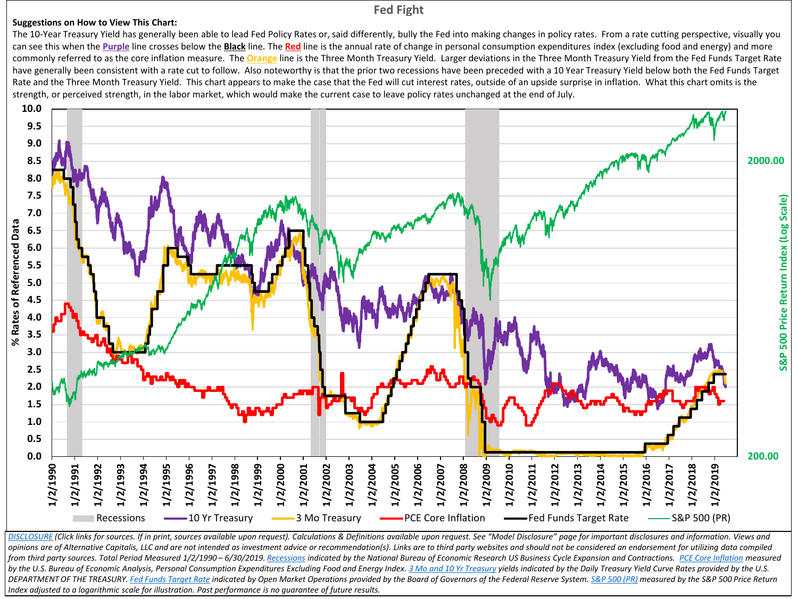## **Fed Fight**

#### **Suggestions on How to View This Chart:**

The 10-Year Treasury Yield has generally been able to lead Fed Policy Rates or, said differently, bully the Fed into making changes in policy rates. From a rate cutting perspective, visually you can see this when the Purple line crosses below the **Black** line. The Red line is the annual rate of change in personal consumption expenditures index (excluding food and energy) and more commonly referred to as the core inflation measure. The **Orange** line is the Three Month Treasury Yield. Larger deviations in the Three Month Treasury Yield from the Fed Funds Target Rate have generally been consistent with a rate cut to follow. Also noteworthy is that the prior two recessions have been preceded with a 10 Year Treasury Yield below both the Fed Funds Target Rate and the Three Month Treasury Yield. This chart appears to make the case that the Fed will cut interest rates, outside of an upside surprise in inflation. What this chart omits is the strength, or perceived strength, in the labor market, which would make the current case to leave policy rates unchanged at the end of July.



[DISCLOSURE](https://www.altcapitalis.com/disclosure) (Click links for sources. If in print, sources available upon request). Calculations & Definitions available upon request. See "Model Disclosure" page for important disclosures and information. Views and opinions are of Alternative Capitalis, LLC and are not intended as investment advice or recommendation(s). Links are to third party websites and should not be considered an endorsement for utilizing data compiled from third party sources. Total Period Measured 1/2/1990-6/30/2019. [Recessions](https://www.nber.org/cycles.html) indicated by the National Bureau of Economic Research US Business Cycle Expansion and Contractions. [PCE Core Inflation](https://fred.stlouisfed.org/series/PCEPILFE) measured by the U.S. Bureau of Economic Analysis, Personal Consumption Expenditures Excluding Food and Energy Index. [3 Mo and 10 Yr](https://www.treasury.gov/resource-center/data-chart-center/interest-rates/Pages/TextView.aspx?data=yieldAll) Treasury yields indicated by the Daily Treasury Yield Curve Rates provided by the U.S. DEPARTMENT OF THE TREASURY. [Fed Funds Target Rate](https://www.federalreserve.gov/monetarypolicy/openmarket.htm) indicated by Open Market Operations provided by the Board of Governors of the Federal Reserve System. [S&P 500 \(PR\)](https://us.spindices.com/indices/equity/sp-500) measured by the S&P 500 Price Return *Index adjusted to a logarithmic scale for illustration. Past performance is no guarantee of future results.*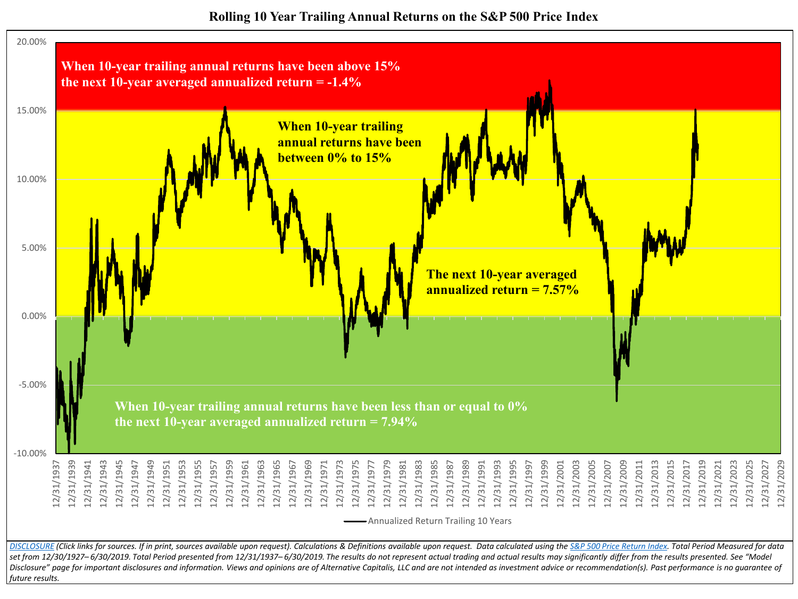**Rolling 10 Year Trailing Annual Returns on the S&P 500 Price Index**

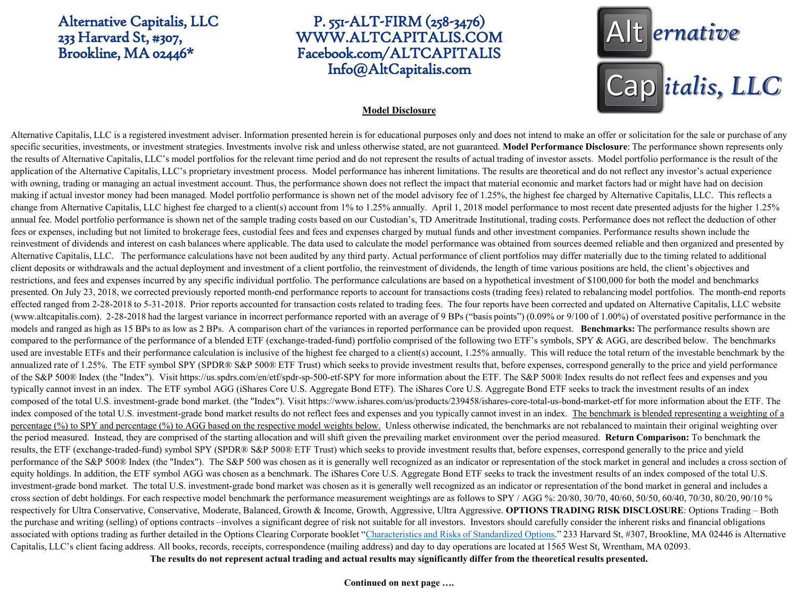## Alternative Capitalis, LLC 233 Harvard St, #307, Brookline, MA 02446\*

# P. 551-ALT-FIRM (258-3476) WWW.ALTCAPITALIS.COM Facebook.com/ALTCAPITALIS Info@AltCapitalis.com



#### **Model Disclosure**

Alternative Capitalis, LLC is a registered investment adviser. Information presented herein is for educational purposes only and does not intend to make an offer or solicitation for the sale or purchase of any specific securities, investments, or investment strategies. Investments involve risk and unless otherwise stated, are not guaranteed. **Model Performance Disclosure**: The performance shown represents only the results of Alternative Capitalis, LLC's model portfolios for the relevant time period and do not represent the results of actual trading of investor assets. Model portfolio performance is the result of the application of the Alternative Capitalis, LLC's proprietary investment process. Model performance has inherent limitations. The results are theoretical and do not reflect any investor's actual experience with owning, trading or managing an actual investment account. Thus, the performance shown does not reflect the impact that material economic and market factors had or might have had on decision making if actual investor money had been managed. Model portfolio performance is shown net of the model advisory fee of 1.25%, the highest fee charged by Alternative Capitalis, LLC. This reflects a change from Alternative Capitalis, LLC highest fee charged to a client(s) account from 1% to 1.25% annually. April 1, 2018 model performance to most recent date presented adjusts for the higher 1.25% annual fee. Model portfolio performance is shown net of the sample trading costs based on our Custodian's, TD Ameritrade Institutional, trading costs. Performance does not reflect the deduction of other fees or expenses, including but not limited to brokerage fees, custodial fees and fees and expenses charged by mutual funds and other investment companies. Performance results shown include the reinvestment of dividends and interest on cash balances where applicable. The data used to calculate the model performance was obtained from sources deemed reliable and then organized and presented by Alternative Capitalis, LLC. The performance calculations have not been audited by any third party. Actual performance of client portfolios may differ materially due to the timing related to additional client deposits or withdrawals and the actual deployment and investment of a client portfolio, the reinvestment of dividends, the length of time various positions are held, the client's objectives and restrictions, and fees and expenses incurred by any specific individual portfolio. The performance calculations are based on a hypothetical investment of \$100,000 for both the model and benchmarks presented. On July 23, 2018, we corrected previously reported month-end performance reports to account for transactions costs (trading fees) related to rebalancing model portfolios. The month-end reports effected ranged from 2-28-2018 to 5-31-2018. Prior reports accounted for transaction costs related to trading fees. The four reports have been corrected and updated on Alternative Capitalis, LLC website (www.altcapitalis.com). 2-28-2018 had the largest variance in incorrect performance reported with an average of 9 BPs ("basis points") (0.09% or 9/100 of 1.00%) of overstated positive performance in the models and ranged as high as 15 BPs to as low as 2 BPs. A comparison chart of the variances in reported performance can be provided upon request. **Benchmarks:** The performance results shown are compared to the performance of the performance of a blended ETF (exchange-traded-fund) portfolio comprised of the following two ETF's symbols, SPY & AGG, are described below. The benchmarks used are investable ETFs and their performance calculation is inclusive of the highest fee charged to a client(s) account, 1.25% annually. This will reduce the total return of the investable benchmark by the annualized rate of 1.25%. The ETF symbol SPY (SPDR® S&P 500® ETF Trust) which seeks to provide investment results that, before expenses, correspond generally to the price and yield performance of the S&P 500® Index (the "Index"). Visit https://us.spdrs.com/en/etf/spdr-sp-500-etf-SPY for more information about the ETF. The S&P 500® Index results do not reflect fees and expenses and you typically cannot invest in an index. The ETF symbol AGG (iShares Core U.S. Aggregate Bond ETF). The iShares Core U.S. Aggregate Bond ETF seeks to track the investment results of an index composed of the total U.S. investment-grade bond market. (the "Index"). Visit https://www.ishares.com/us/products/239458/ishares-core-total-us-bond-market-etf for more information about the ETF. The index composed of the total U.S. investment-grade bond market results do not reflect fees and expenses and you typically cannot invest in an index. The benchmark is blended representing a weighting of a percentage (%) to SPY and percentage (%) to AGG based on the respective model weights below. Unless otherwise indicated, the benchmarks are not rebalanced to maintain their original weighting over the period measured. Instead, they are comprised of the starting allocation and will shift given the prevailing market environment over the period measured. **Return Comparison:** To benchmark the results, the ETF (exchange-traded-fund) symbol SPY (SPDR® S&P 500® ETF Trust) which seeks to provide investment results that, before expenses, correspond generally to the price and yield performance of the S&P 500® Index (the "Index"). The S&P 500 was chosen as it is generally well recognized as an indicator or representation of the stock market in general and includes a cross section of equity holdings. In addition, the ETF symbol AGG was chosen as a benchmark. The iShares Core U.S. Aggregate Bond ETF seeks to track the investment results of an index composed of the total U.S. investment-grade bond market. The total U.S. investment-grade bond market was chosen as it is generally well recognized as an indicator or representation of the bond market in general and includes a cross section of debt holdings. For each respective model benchmark the performance measurement weightings are as follows to SPY / AGG %: 20/80, 30/70, 40/60, 50/50, 60/40, 70/30, 80/20, 90/10 % respectively for Ultra Conservative, Conservative, Moderate, Balanced, Growth & Income, Growth, Aggressive, Ultra Aggressive. **OPTIONS TRADING RISK DISCLOSURE**: Options Trading – Both the purchase and writing (selling) of options contracts –involves a significant degree of risk not suitable for all investors. Investors should carefully consider the inherent risks and financial obligations associated with options trading as further detailed in the Options Clearing Corporate booklet "[Characteristics and Risks of Standardized Options.](https://www.theocc.com/about/publications/publication-listing.jsp)" 233 Harvard St, #307, Brookline, MA 02446 is Alternative Capitalis, LLC's client facing address. All books, records, receipts, correspondence (mailing address) and day to day operations are located at 1565 West St, Wrentham, MA 02093. **The results do not represent actual trading and actual results may significantly differ from the theoretical results presented.**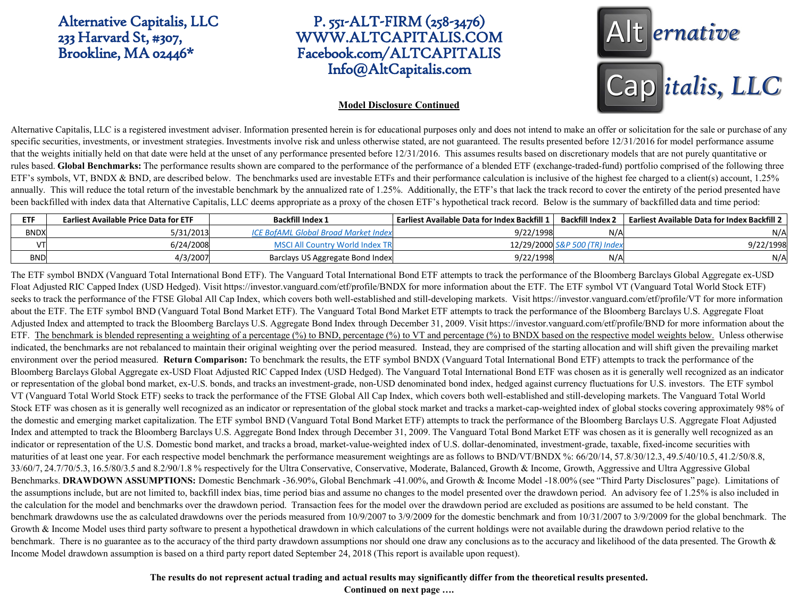Alternative Capitalis, LLC 233 Harvard St, #307, Brookline, MA 02446\*

# P. 551-ALT-FIRM (258-3476) WWW.ALTCAPITALIS.COM Facebook.com/ALTCAPITALIS Info@AltCapitalis.com

# Alt ernative Cap italis, LLC

#### **Model Disclosure Continued**

Alternative Capitalis, LLC is a registered investment adviser. Information presented herein is for educational purposes only and does not intend to make an offer or solicitation for the sale or purchase of any specific securities, investments, or investment strategies. Investments involve risk and unless otherwise stated, are not guaranteed. The results presented before 12/31/2016 for model performance assume that the weights initially held on that date were held at the unset of any performance presented before 12/31/2016. This assumes results based on discretionary models that are not purely quantitative or rules based. Global Benchmarks: The performance results shown are compared to the performance of the performance of a blended ETF (exchange-traded-fund) portfolio comprised of the following three ETF's symbols, VT, BNDX & BND, are described below. The benchmarks used are investable ETFs and their performance calculation is inclusive of the highest fee charged to a client(s) account,  $1.25\%$ annually. This will reduce the total return of the investable benchmark by the annualized rate of 1.25%. Additionally, the ETF's that lack the track record to cover the entirety of the period presented have been backfilled with index data that Alternative Capitalis, LLC deems appropriate as a proxy of the chosen ETF's hypothetical track record. Below is the summary of backfilled data and time period:

| <b>ETF</b>  | <b>Earliest Available Price Data for ETF</b> | <b>Backfill Index 1</b>                     | Earliest Available Data for Index Backfill 1 | Backfill Index 2              | Earliest Available Data for Index Backfill 2 \ |
|-------------|----------------------------------------------|---------------------------------------------|----------------------------------------------|-------------------------------|------------------------------------------------|
| <b>BNDX</b> | 5/31/2013                                    | <b>ICE BofAML Global Broad Market Index</b> | 9/22/1998                                    | N/A                           | N/A                                            |
| VTI         | 6/24/2008                                    | MSCI All Country World Index TR             |                                              | 12/29/2000 S&P 500 (TR) Index | 9/22/1998                                      |
| <b>BND</b>  | 4/3/2007                                     | Barclays US Aggregate Bond Index            | 9/22/1998                                    | N/A                           | N/A                                            |

The ETF symbol BNDX (Vanguard Total International Bond ETF). The Vanguard Total International Bond ETF attempts to track the performance of the Bloomberg Barclays Global Aggregate ex-USD Float Adjusted RIC Capped Index (USD Hedged). Visit https://investor.vanguard.com/etf/profile/BNDX for more information about the ETF. The ETF symbol VT (Vanguard Total World Stock ETF) seeks to track the performance of the FTSE Global All Cap Index, which covers both well-established and still-developing markets. Visit https://investor.vanguard.com/etf/profile/VT for more information about the ETF. The ETF symbol BND (Vanguard Total Bond Market ETF). The Vanguard Total Bond Market ETF attempts to track the performance of the Bloomberg Barclays U.S. Aggregate Float Adjusted Index and attempted to track the Bloomberg Barclays U.S. Aggregate Bond Index through December 31, 2009. Visit https://investor.vanguard.com/etf/profile/BND for more information about the ETF. The benchmark is blended representing a weighting of a percentage (%) to BND, percentage (%) to VT and percentage (%) to BNDX based on the respective model weights below. Unless otherwise indicated, the benchmarks are not rebalanced to maintain their original weighting over the period measured. Instead, they are comprised of the starting allocation and will shift given the prevailing market environment over the period measured. **Return Comparison:** To benchmark the results, the ETF symbol BNDX (Vanguard Total International Bond ETF) attempts to track the performance of the Bloomberg Barclays Global Aggregate ex-USD Float Adjusted RIC Capped Index (USD Hedged). The Vanguard Total International Bond ETF was chosen as it is generally well recognized as an indicator or representation of the global bond market, ex-U.S. bonds, and tracks an investment-grade, non-USD denominated bond index, hedged against currency fluctuations for U.S. investors. The ETF symbol VT (Vanguard Total World Stock ETF) seeks to track the performance of the FTSE Global All Cap Index, which covers both well-established and still-developing markets. The Vanguard Total World Stock ETF was chosen as it is generally well recognized as an indicator or representation of the global stock market and tracks a market-cap-weighted index of global stocks covering approximately 98% of the domestic and emerging market capitalization. The ETF symbol BND (Vanguard Total Bond Market ETF) attempts to track the performance of the Bloomberg Barclays U.S. Aggregate Float Adjusted Index and attempted to track the Bloomberg Barclays U.S. Aggregate Bond Index through December 31, 2009. The Vanguard Total Bond Market ETF was chosen as it is generally well recognized as an indicator or representation of the U.S. Domestic bond market, and tracks a broad, market-value-weighted index of U.S. dollar-denominated, investment-grade, taxable, fixed-income securities with maturities of at least one year. For each respective model benchmark the performance measurement weightings are as follows to BND/VT/BNDX %: 66/20/14, 57.8/30/12.3, 49.5/40/10.5, 41.2/50/8.8, 33/60/7, 24.7/70/5.3, 16.5/80/3.5 and 8.2/90/1.8 % respectively for the Ultra Conservative, Conservative, Moderate, Balanced, Growth & Income, Growth, Aggressive and Ultra Aggressive Global Benchmarks. **DRAWDOWN ASSUMPTIONS:** Domestic Benchmark -36.90%, Global Benchmark -41.00%, and Growth & Income Model -18.00% (see "Third Party Disclosures" page). Limitations of the assumptions include, but are not limited to, backfill index bias, time period bias and assume no changes to the model presented over the drawdown period. An advisory fee of 1.25% is also included in the calculation for the model and benchmarks over the drawdown period. Transaction fees for the model over the drawdown period are excluded as positions are assumed to be held constant. The benchmark drawdowns use the as calculated drawdowns over the periods measured from 10/9/2007 to 3/9/2009 for the domestic benchmark and from 10/31/2007 to 3/9/2009 for the global benchmark. The Growth & Income Model uses third party software to present a hypothetical drawdown in which calculations of the current holdings were not available during the drawdown period relative to the benchmark. There is no guarantee as to the accuracy of the third party drawdown assumptions nor should one draw any conclusions as to the accuracy and likelihood of the data presented. The Growth & Income Model drawdown assumption is based on a third party report dated September 24, 2018 (This report is available upon request).

> **The results do not represent actual trading and actual results may significantly differ from the theoretical results presented. Continued on next page ….**